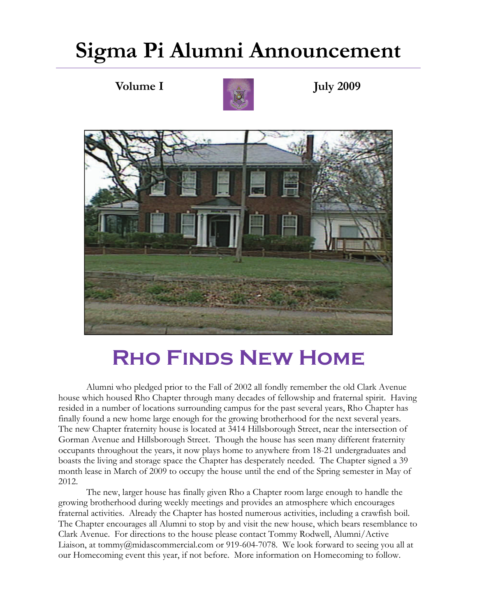# **Sigma Pi Alumni Announcement**



**Volume I July 2009** 



# **Rho Finds New Home**

 Alumni who pledged prior to the Fall of 2002 all fondly remember the old Clark Avenue house which housed Rho Chapter through many decades of fellowship and fraternal spirit. Having resided in a number of locations surrounding campus for the past several years, Rho Chapter has finally found a new home large enough for the growing brotherhood for the next several years. The new Chapter fraternity house is located at 3414 Hillsborough Street, near the intersection of Gorman Avenue and Hillsborough Street. Though the house has seen many different fraternity occupants throughout the years, it now plays home to anywhere from 18-21 undergraduates and boasts the living and storage space the Chapter has desperately needed. The Chapter signed a 39 month lease in March of 2009 to occupy the house until the end of the Spring semester in May of 2012.

 The new, larger house has finally given Rho a Chapter room large enough to handle the growing brotherhood during weekly meetings and provides an atmosphere which encourages fraternal activities. Already the Chapter has hosted numerous activities, including a crawfish boil. The Chapter encourages all Alumni to stop by and visit the new house, which bears resemblance to Clark Avenue. For directions to the house please contact Tommy Rodwell, Alumni/Active Liaison, at tommy@midascommercial.com or 919-604-7078. We look forward to seeing you all at our Homecoming event this year, if not before. More information on Homecoming to follow.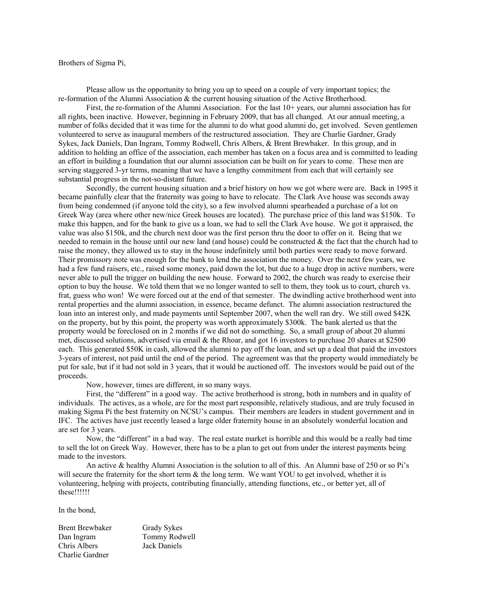Brothers of Sigma Pi,

 Please allow us the opportunity to bring you up to speed on a couple of very important topics; the re-formation of the Alumni Association & the current housing situation of the Active Brotherhood.

 First, the re-formation of the Alumni Association. For the last 10+ years, our alumni association has for all rights, been inactive. However, beginning in February 2009, that has all changed. At our annual meeting, a number of folks decided that it was time for the alumni to do what good alumni do, get involved. Seven gentlemen volunteered to serve as inaugural members of the restructured association. They are Charlie Gardner, Grady Sykes, Jack Daniels, Dan Ingram, Tommy Rodwell, Chris Albers, & Brent Brewbaker. In this group, and in addition to holding an office of the association, each member has taken on a focus area and is committed to leading an effort in building a foundation that our alumni association can be built on for years to come. These men are serving staggered 3-yr terms, meaning that we have a lengthy commitment from each that will certainly see substantial progress in the not-so-distant future.

 Secondly, the current housing situation and a brief history on how we got where were are. Back in 1995 it became painfully clear that the fraternity was going to have to relocate. The Clark Ave house was seconds away from being condemned (if anyone told the city), so a few involved alumni spearheaded a purchase of a lot on Greek Way (area where other new/nice Greek houses are located). The purchase price of this land was \$150k. To make this happen, and for the bank to give us a loan, we had to sell the Clark Ave house. We got it appraised, the value was also \$150k, and the church next door was the first person thru the door to offer on it. Being that we needed to remain in the house until our new land (and house) could be constructed  $\&$  the fact that the church had to raise the money, they allowed us to stay in the house indefinitely until both parties were ready to move forward. Their promissory note was enough for the bank to lend the association the money. Over the next few years, we had a few fund raisers, etc., raised some money, paid down the lot, but due to a huge drop in active numbers, were never able to pull the trigger on building the new house. Forward to 2002, the church was ready to exercise their option to buy the house. We told them that we no longer wanted to sell to them, they took us to court, church vs. frat, guess who won! We were forced out at the end of that semester. The dwindling active brotherhood went into rental properties and the alumni association, in essence, became defunct. The alumni association restructured the loan into an interest only, and made payments until September 2007, when the well ran dry. We still owed \$42K on the property, but by this point, the property was worth approximately \$300k. The bank alerted us that the property would be foreclosed on in 2 months if we did not do something. So, a small group of about 20 alumni met, discussed solutions, advertised via email & the Rhoar, and got 16 investors to purchase 20 shares at \$2500 each. This generated \$50K in cash, allowed the alumni to pay off the loan, and set up a deal that paid the investors 3-years of interest, not paid until the end of the period. The agreement was that the property would immediately be put for sale, but if it had not sold in 3 years, that it would be auctioned off. The investors would be paid out of the proceeds.

Now, however, times are different, in so many ways.

 First, the "different" in a good way. The active brotherhood is strong, both in numbers and in quality of individuals. The actives, as a whole, are for the most part responsible, relatively studious, and are truly focused in making Sigma Pi the best fraternity on NCSU's campus. Their members are leaders in student government and in IFC. The actives have just recently leased a large older fraternity house in an absolutely wonderful location and are set for 3 years.

 Now, the "different" in a bad way. The real estate market is horrible and this would be a really bad time to sell the lot on Greek Way. However, there has to be a plan to get out from under the interest payments being made to the investors.

 An active & healthy Alumni Association is the solution to all of this. An Alumni base of 250 or so Pi's will secure the fraternity for the short term & the long term. We want YOU to get involved, whether it is volunteering, helping with projects, contributing financially, attending functions, etc., or better yet, all of these!!!!!!

In the bond,

Brent Brewbaker Grady Sykes Dan Ingram Tommy Rodwell Chris Albers Jack Daniels Charlie Gardner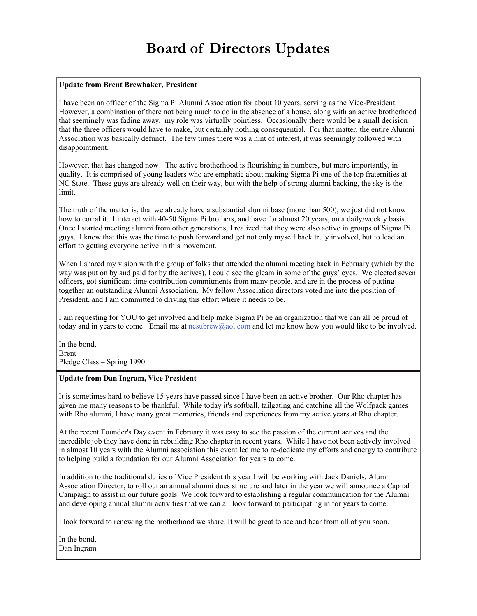# **Board of Directors Updates**

# **Update from Brent Brewbaker, President**

I have been an officer of the Sigma Pi Alumni Association for about 10 years, serving as the Vice-President. However, a combination of there not being much to do in the absence of a house, along with an active brotherhood that seemingly was fading away, my role was virtually pointless. Occasionally there would be a small decision that the three officers would have to make, but certainly nothing consequential. For that matter, the entire Alumni Association was basically defunct. The few times there was a hint of interest, it was seemingly followed with disappointment.

However, that has changed now! The active brotherhood is flourishing in numbers, but more importantly, in quality. It is comprised of young leaders who are emphatic about making Sigma Pi one of the top fraternities at NC State. These guys are already well on their way, but with the help of strong alumni backing, the sky is the limit.

The truth of the matter is, that we already have a substantial alumni base (more than 500), we just did not know how to corral it. I interact with 40-50 Sigma Pi brothers, and have for almost 20 years, on a daily/weekly basis. Once I started meeting alumni from other generations, I realized that they were also active in groups of Sigma Pi guys. I knew that this was the time to push forward and get not only myself back truly involved, but to lead an effort to getting everyone active in this movement.

When I shared my vision with the group of folks that attended the alumni meeting back in February (which by the way was put on by and paid for by the actives), I could see the gleam in some of the guys' eyes. We elected seven officers, got significant time contribution commitments from many people, and are in the process of putting together an outstanding Alumni Association. My fellow Association directors voted me into the position of President, and I am committed to driving this effort where it needs to be.

I am requesting for YOU to get involved and help make Sigma Pi be an organization that we can all be proud of today and in years to come! Email me at [ncsubrew@aol.com](mailto:ncsubrew@aol.com) and let me know how you would like to be involved.

In the bond, Brent Pledge Class – Spring 1990

## **Update from Dan Ingram, Vice President**

It is sometimes hard to believe 15 years have passed since I have been an active brother. Our Rho chapter has given me many reasons to be thankful. While today it's softball, tailgating and catching all the Wolfpack games with Rho alumni, I have many great memories, friends and experiences from my active years at Rho chapter.

At the recent Founder's Day event in February it was easy to see the passion of the current actives and the incredible job they have done in rebuilding Rho chapter in recent years. While I have not been actively involved in almost 10 years with the Alumni association this event led me to re-dedicate my efforts and energy to contribute to helping build a foundation for our Alumni Association for years to come.

In addition to the traditional duties of Vice President this year I will be working with Jack Daniels, Alumni Association Director, to roll out an annual alumni dues structure and later in the year we will announce a Capital Campaign to assist in our future goals. We look forward to establishing a regular communication for the Alumni and developing annual alumni activities that we can all look forward to participating in for years to come.

I look forward to renewing the brotherhood we share. It will be great to see and hear from all of you soon.

In the bond, Dan Ingram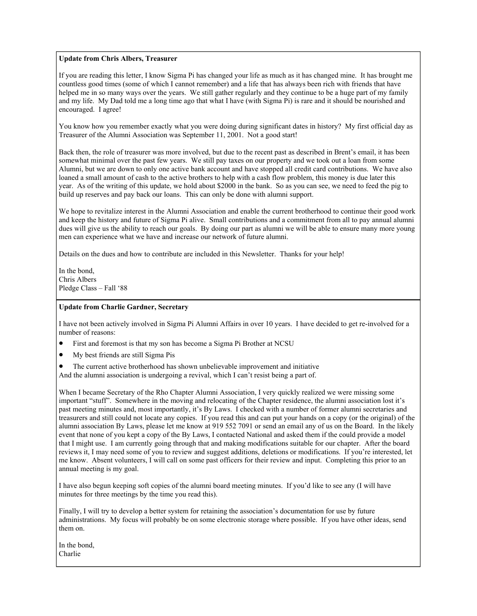#### **Update from Chris Albers, Treasurer**

If you are reading this letter, I know Sigma Pi has changed your life as much as it has changed mine. It has brought me countless good times (some of which I cannot remember) and a life that has always been rich with friends that have helped me in so many ways over the years. We still gather regularly and they continue to be a huge part of my family and my life. My Dad told me a long time ago that what I have (with Sigma Pi) is rare and it should be nourished and encouraged. I agree!

You know how you remember exactly what you were doing during significant dates in history? My first official day as Treasurer of the Alumni Association was September 11, 2001. Not a good start!

Back then, the role of treasurer was more involved, but due to the recent past as described in Brent's email, it has been somewhat minimal over the past few years. We still pay taxes on our property and we took out a loan from some Alumni, but we are down to only one active bank account and have stopped all credit card contributions. We have also loaned a small amount of cash to the active brothers to help with a cash flow problem, this money is due later this year. As of the writing of this update, we hold about \$2000 in the bank. So as you can see, we need to feed the pig to build up reserves and pay back our loans. This can only be done with alumni support.

We hope to revitalize interest in the Alumni Association and enable the current brotherhood to continue their good work and keep the history and future of Sigma Pi alive. Small contributions and a commitment from all to pay annual alumni dues will give us the ability to reach our goals. By doing our part as alumni we will be able to ensure many more young men can experience what we have and increase our network of future alumni.

Details on the dues and how to contribute are included in this Newsletter. Thanks for your help!

In the bond, Chris Albers Pledge Class – Fall '88

#### **Update from Charlie Gardner, Secretary**

I have not been actively involved in Sigma Pi Alumni Affairs in over 10 years. I have decided to get re-involved for a number of reasons:

- First and foremost is that my son has become a Sigma Pi Brother at NCSU
- My best friends are still Sigma Pis
- The current active brotherhood has shown unbelievable improvement and initiative

And the alumni association is undergoing a revival, which I can't resist being a part of.

When I became Secretary of the Rho Chapter Alumni Association, I very quickly realized we were missing some important "stuff". Somewhere in the moving and relocating of the Chapter residence, the alumni association lost it's past meeting minutes and, most importantly, it's By Laws. I checked with a number of former alumni secretaries and treasurers and still could not locate any copies. If you read this and can put your hands on a copy (or the original) of the alumni association By Laws, please let me know at 919 552 7091 or send an email any of us on the Board. In the likely event that none of you kept a copy of the By Laws, I contacted National and asked them if the could provide a model that I might use. I am currently going through that and making modifications suitable for our chapter. After the board reviews it, I may need some of you to review and suggest additions, deletions or modifications. If you're interested, let me know. Absent volunteers, I will call on some past officers for their review and input. Completing this prior to an annual meeting is my goal.

I have also begun keeping soft copies of the alumni board meeting minutes. If you'd like to see any (I will have minutes for three meetings by the time you read this).

Finally, I will try to develop a better system for retaining the association's documentation for use by future administrations. My focus will probably be on some electronic storage where possible. If you have other ideas, send them on.

In the bond, Charlie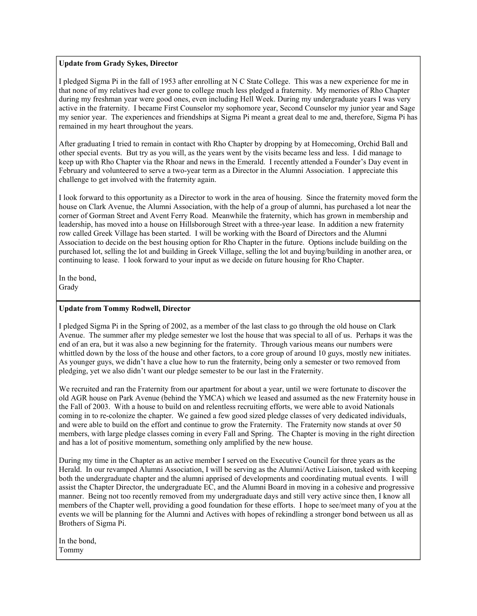## **Update from Grady Sykes, Director**

I pledged Sigma Pi in the fall of 1953 after enrolling at N C State College. This was a new experience for me in that none of my relatives had ever gone to college much less pledged a fraternity. My memories of Rho Chapter during my freshman year were good ones, even including Hell Week. During my undergraduate years I was very active in the fraternity. I became First Counselor my sophomore year, Second Counselor my junior year and Sage my senior year. The experiences and friendships at Sigma Pi meant a great deal to me and, therefore, Sigma Pi has remained in my heart throughout the years.

After graduating I tried to remain in contact with Rho Chapter by dropping by at Homecoming, Orchid Ball and other special events. But try as you will, as the years went by the visits became less and less. I did manage to keep up with Rho Chapter via the Rhoar and news in the Emerald. I recently attended a Founder's Day event in February and volunteered to serve a two-year term as a Director in the Alumni Association. I appreciate this challenge to get involved with the fraternity again.

I look forward to this opportunity as a Director to work in the area of housing. Since the fraternity moved form the house on Clark Avenue, the Alumni Association, with the help of a group of alumni, has purchased a lot near the corner of Gorman Street and Avent Ferry Road. Meanwhile the fraternity, which has grown in membership and leadership, has moved into a house on Hillsborough Street with a three-year lease. In addition a new fraternity row called Greek Village has been started. I will be working with the Board of Directors and the Alumni Association to decide on the best housing option for Rho Chapter in the future. Options include building on the purchased lot, selling the lot and building in Greek Village, selling the lot and buying/building in another area, or continuing to lease. I look forward to your input as we decide on future housing for Rho Chapter.

In the bond, Grady

## **Update from Tommy Rodwell, Director**

I pledged Sigma Pi in the Spring of 2002, as a member of the last class to go through the old house on Clark Avenue. The summer after my pledge semester we lost the house that was special to all of us. Perhaps it was the end of an era, but it was also a new beginning for the fraternity. Through various means our numbers were whittled down by the loss of the house and other factors, to a core group of around 10 guys, mostly new initiates. As younger guys, we didn't have a clue how to run the fraternity, being only a semester or two removed from pledging, yet we also didn't want our pledge semester to be our last in the Fraternity.

We recruited and ran the Fraternity from our apartment for about a year, until we were fortunate to discover the old AGR house on Park Avenue (behind the YMCA) which we leased and assumed as the new Fraternity house in the Fall of 2003. With a house to build on and relentless recruiting efforts, we were able to avoid Nationals coming in to re-colonize the chapter. We gained a few good sized pledge classes of very dedicated individuals, and were able to build on the effort and continue to grow the Fraternity. The Fraternity now stands at over 50 members, with large pledge classes coming in every Fall and Spring. The Chapter is moving in the right direction and has a lot of positive momentum, something only amplified by the new house.

During my time in the Chapter as an active member I served on the Executive Council for three years as the Herald. In our revamped Alumni Association, I will be serving as the Alumni/Active Liaison, tasked with keeping both the undergraduate chapter and the alumni apprised of developments and coordinating mutual events. I will assist the Chapter Director, the undergraduate EC, and the Alumni Board in moving in a cohesive and progressive manner. Being not too recently removed from my undergraduate days and still very active since then, I know all members of the Chapter well, providing a good foundation for these efforts. I hope to see/meet many of you at the events we will be planning for the Alumni and Actives with hopes of rekindling a stronger bond between us all as Brothers of Sigma Pi.

In the bond, Tommy